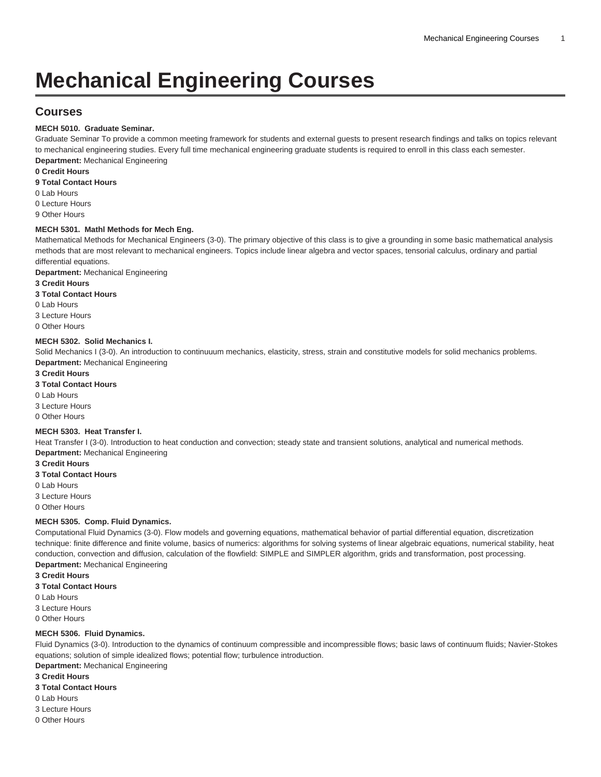# **Mechanical Engineering Courses**

# **Courses**

#### **MECH 5010. Graduate Seminar.**

Graduate Seminar To provide a common meeting framework for students and external guests to present research findings and talks on topics relevant to mechanical engineering studies. Every full time mechanical engineering graduate students is required to enroll in this class each semester. **Department:** Mechanical Engineering

#### **0 Credit Hours**

**9 Total Contact Hours**

0 Lab Hours

0 Lecture Hours

9 Other Hours

#### **MECH 5301. Mathl Methods for Mech Eng.**

Mathematical Methods for Mechanical Engineers (3-0). The primary objective of this class is to give a grounding in some basic mathematical analysis methods that are most relevant to mechanical engineers. Topics include linear algebra and vector spaces, tensorial calculus, ordinary and partial differential equations.

**Department:** Mechanical Engineering

**3 Credit Hours**

**3 Total Contact Hours**

0 Lab Hours

3 Lecture Hours

0 Other Hours

#### **MECH 5302. Solid Mechanics I.**

Solid Mechanics I (3-0). An introduction to continuuum mechanics, elasticity, stress, strain and constitutive models for solid mechanics problems. **Department:** Mechanical Engineering

**3 Credit Hours**

**3 Total Contact Hours**

0 Lab Hours

3 Lecture Hours

0 Other Hours

#### **MECH 5303. Heat Transfer I.**

Heat Transfer I (3-0). Introduction to heat conduction and convection; steady state and transient solutions, analytical and numerical methods. **Department:** Mechanical Engineering

**3 Credit Hours**

**3 Total Contact Hours**

0 Lab Hours

3 Lecture Hours

0 Other Hours

#### **MECH 5305. Comp. Fluid Dynamics.**

Computational Fluid Dynamics (3-0). Flow models and governing equations, mathematical behavior of partial differential equation, discretization technique: finite difference and finite volume, basics of numerics: algorithms for solving systems of linear algebraic equations, numerical stability, heat conduction, convection and diffusion, calculation of the flowfield: SIMPLE and SIMPLER algorithm, grids and transformation, post processing. **Department:** Mechanical Engineering

**3 Credit Hours**

**3 Total Contact Hours**

0 Lab Hours

3 Lecture Hours

0 Other Hours

#### **MECH 5306. Fluid Dynamics.**

Fluid Dynamics (3-0). Introduction to the dynamics of continuum compressible and incompressible flows; basic laws of continuum fluids; Navier-Stokes equations; solution of simple idealized flows; potential flow; turbulence introduction.

**Department:** Mechanical Engineering

**3 Credit Hours**

**3 Total Contact Hours**

0 Lab Hours

3 Lecture Hours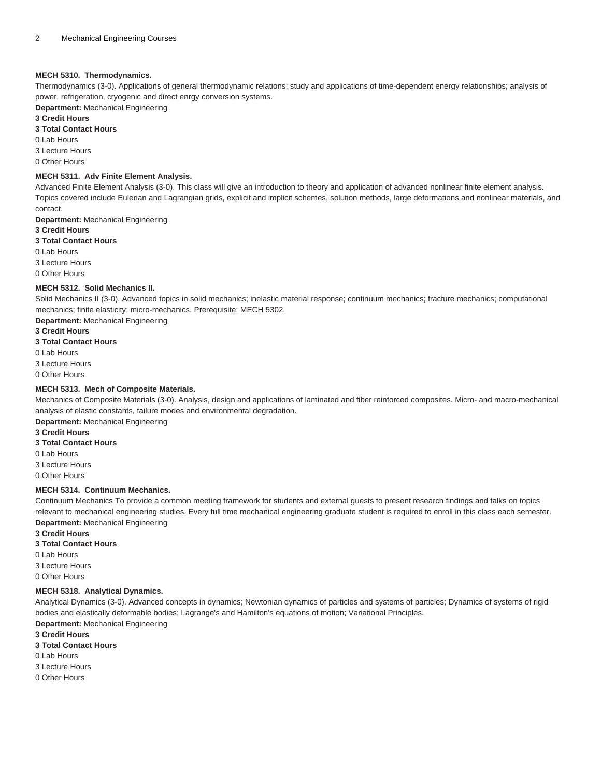#### **MECH 5310. Thermodynamics.**

Thermodynamics (3-0). Applications of general thermodynamic relations; study and applications of time-dependent energy relationships; analysis of power, refrigeration, cryogenic and direct enrgy conversion systems.

**Department:** Mechanical Engineering

### **3 Credit Hours**

**3 Total Contact Hours**

0 Lab Hours

3 Lecture Hours

0 Other Hours

#### **MECH 5311. Adv Finite Element Analysis.**

Advanced Finite Element Analysis (3-0). This class will give an introduction to theory and application of advanced nonlinear finite element analysis. Topics covered include Eulerian and Lagrangian grids, explicit and implicit schemes, solution methods, large deformations and nonlinear materials, and contact.

**Department:** Mechanical Engineering

- **3 Credit Hours**
- **3 Total Contact Hours**
- 0 Lab Hours

3 Lecture Hours

0 Other Hours

#### **MECH 5312. Solid Mechanics II.**

Solid Mechanics II (3-0). Advanced topics in solid mechanics; inelastic material response; continuum mechanics; fracture mechanics; computational mechanics; finite elasticity; micro-mechanics. Prerequisite: [MECH 5302.](/search/?P=MECH%205302)

**Department:** Mechanical Engineering

**3 Credit Hours 3 Total Contact Hours**

0 Lab Hours 3 Lecture Hours

0 Other Hours

#### **MECH 5313. Mech of Composite Materials.**

Mechanics of Composite Materials (3-0). Analysis, design and applications of laminated and fiber reinforced composites. Micro- and macro-mechanical analysis of elastic constants, failure modes and environmental degradation.

**Department:** Mechanical Engineering

### **3 Credit Hours**

**3 Total Contact Hours**

0 Lab Hours

3 Lecture Hours

0 Other Hours

#### **MECH 5314. Continuum Mechanics.**

Continuum Mechanics To provide a common meeting framework for students and external guests to present research findings and talks on topics relevant to mechanical engineering studies. Every full time mechanical engineering graduate student is required to enroll in this class each semester. **Department:** Mechanical Engineering

**3 Credit Hours**

**3 Total Contact Hours**

0 Lab Hours

3 Lecture Hours

0 Other Hours

#### **MECH 5318. Analytical Dynamics.**

Analytical Dynamics (3-0). Advanced concepts in dynamics; Newtonian dynamics of particles and systems of particles; Dynamics of systems of rigid bodies and elastically deformable bodies; Lagrange's and Hamilton's equations of motion; Variational Principles. **Department:** Mechanical Engineering

**3 Credit Hours**

**3 Total Contact Hours**

0 Lab Hours

3 Lecture Hours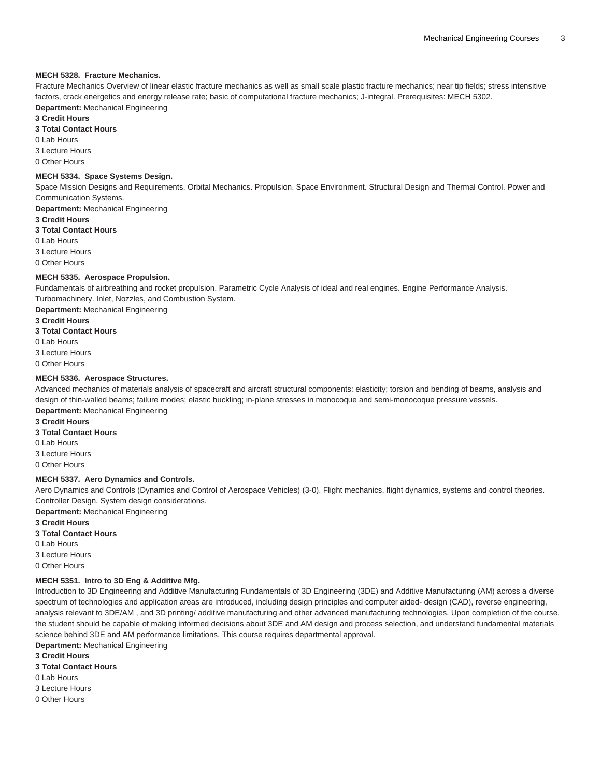#### **MECH 5328. Fracture Mechanics.**

Fracture Mechanics Overview of linear elastic fracture mechanics as well as small scale plastic fracture mechanics; near tip fields; stress intensitive factors, crack energetics and energy release rate; basic of computational fracture mechanics; J-integral. Prerequisites: [MECH 5302.](/search/?P=MECH%205302) **Department:** Mechanical Engineering

#### **3 Credit Hours**

**3 Total Contact Hours**

0 Lab Hours

3 Lecture Hours

0 Other Hours

#### **MECH 5334. Space Systems Design.**

Space Mission Designs and Requirements. Orbital Mechanics. Propulsion. Space Environment. Structural Design and Thermal Control. Power and Communication Systems.

**Department:** Mechanical Engineering

#### **3 Credit Hours**

**3 Total Contact Hours**

0 Lab Hours

3 Lecture Hours

0 Other Hours

#### **MECH 5335. Aerospace Propulsion.**

Fundamentals of airbreathing and rocket propulsion. Parametric Cycle Analysis of ideal and real engines. Engine Performance Analysis. Turbomachinery. Inlet, Nozzles, and Combustion System.

**Department:** Mechanical Engineering

**3 Credit Hours**

**3 Total Contact Hours**

0 Lab Hours 3 Lecture Hours

0 Other Hours

#### **MECH 5336. Aerospace Structures.**

Advanced mechanics of materials analysis of spacecraft and aircraft structural components: elasticity; torsion and bending of beams, analysis and design of thin-walled beams; failure modes; elastic buckling; in-plane stresses in monocoque and semi-monocoque pressure vessels. **Department:** Mechanical Engineering

**3 Credit Hours**

**3 Total Contact Hours**

0 Lab Hours

3 Lecture Hours

0 Other Hours

# **MECH 5337. Aero Dynamics and Controls.**

Aero Dynamics and Controls (Dynamics and Control of Aerospace Vehicles) (3-0). Flight mechanics, flight dynamics, systems and control theories. Controller Design. System design considerations.

**Department:** Mechanical Engineering

**3 Credit Hours**

#### **3 Total Contact Hours**

0 Lab Hours

3 Lecture Hours

0 Other Hours

#### **MECH 5351. Intro to 3D Eng & Additive Mfg.**

Introduction to 3D Engineering and Additive Manufacturing Fundamentals of 3D Engineering (3DE) and Additive Manufacturing (AM) across a diverse spectrum of technologies and application areas are introduced, including design principles and computer aided- design (CAD), reverse engineering, analysis relevant to 3DE/AM , and 3D printing/ additive manufacturing and other advanced manufacturing technologies. Upon completion of the course, the student should be capable of making informed decisions about 3DE and AM design and process selection, and understand fundamental materials science behind 3DE and AM performance limitations. This course requires departmental approval.

**Department:** Mechanical Engineering

**3 Credit Hours**

**3 Total Contact Hours**

0 Lab Hours

3 Lecture Hours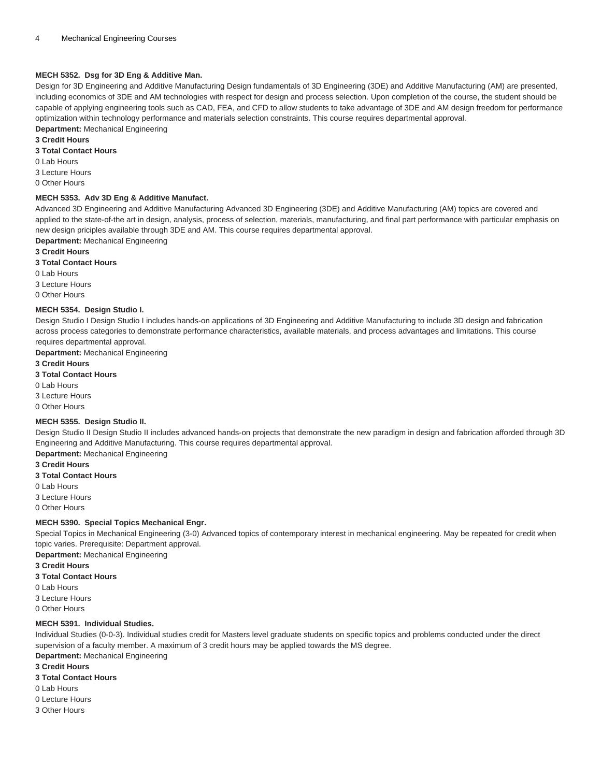#### **MECH 5352. Dsg for 3D Eng & Additive Man.**

Design for 3D Engineering and Additive Manufacturing Design fundamentals of 3D Engineering (3DE) and Additive Manufacturing (AM) are presented, including economics of 3DE and AM technologies with respect for design and process selection. Upon completion of the course, the student should be capable of applying engineering tools such as CAD, FEA, and CFD to allow students to take advantage of 3DE and AM design freedom for performance optimization within technology performance and materials selection constraints. This course requires departmental approval. **Department:** Mechanical Engineering

#### **3 Credit Hours**

#### **3 Total Contact Hours**

- 0 Lab Hours
- 3 Lecture Hours
- 0 Other Hours

#### **MECH 5353. Adv 3D Eng & Additive Manufact.**

Advanced 3D Engineering and Additive Manufacturing Advanced 3D Engineering (3DE) and Additive Manufacturing (AM) topics are covered and applied to the state-of-the art in design, analysis, process of selection, materials, manufacturing, and final part performance with particular emphasis on new design priciples available through 3DE and AM. This course requires departmental approval.

**Department:** Mechanical Engineering

# **3 Credit Hours**

**3 Total Contact Hours**

- 0 Lab Hours
- 3 Lecture Hours
- 0 Other Hours

#### **MECH 5354. Design Studio I.**

Design Studio I Design Studio I includes hands-on applications of 3D Engineering and Additive Manufacturing to include 3D design and fabrication across process categories to demonstrate performance characteristics, available materials, and process advantages and limitations. This course requires departmental approval.

**Department:** Mechanical Engineering

**3 Credit Hours**

#### **3 Total Contact Hours**

0 Lab Hours

3 Lecture Hours

0 Other Hours

#### **MECH 5355. Design Studio II.**

Design Studio II Design Studio II includes advanced hands-on projects that demonstrate the new paradigm in design and fabrication afforded through 3D Engineering and Additive Manufacturing. This course requires departmental approval.

**Department:** Mechanical Engineering

**3 Credit Hours**

- **3 Total Contact Hours**
- 0 Lab Hours
- 3 Lecture Hours
- 0 Other Hours

#### **MECH 5390. Special Topics Mechanical Engr.**

Special Topics in Mechanical Engineering (3-0) Advanced topics of contemporary interest in mechanical engineering. May be repeated for credit when topic varies. Prerequisite: Department approval.

**Department:** Mechanical Engineering

- **3 Credit Hours**
- **3 Total Contact Hours**
- 0 Lab Hours
- 3 Lecture Hours
- 0 Other Hours

#### **MECH 5391. Individual Studies.**

Individual Studies (0-0-3). Individual studies credit for Masters level graduate students on specific topics and problems conducted under the direct supervision of a faculty member. A maximum of 3 credit hours may be applied towards the MS degree. **Department:** Mechanical Engineering

- **3 Credit Hours**
- **3 Total Contact Hours**
- 0 Lab Hours
- 0 Lecture Hours
- 3 Other Hours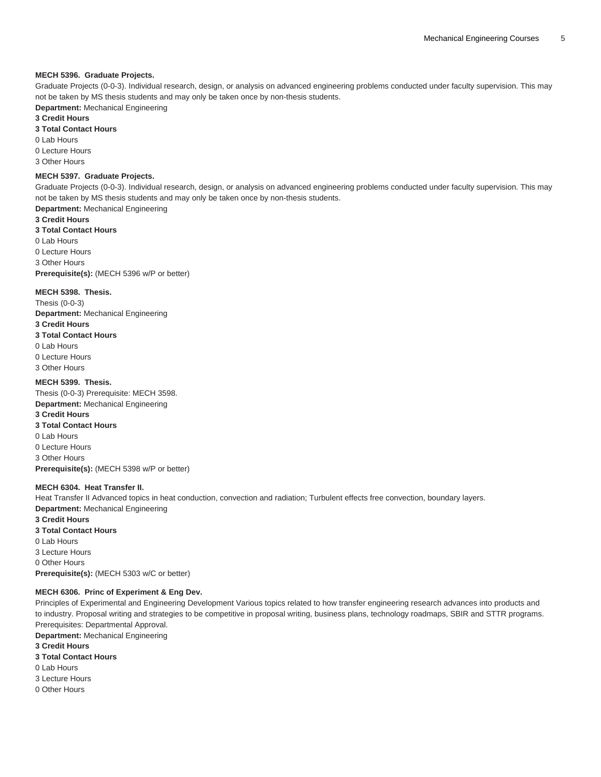#### **MECH 5396. Graduate Projects.**

Graduate Projects (0-0-3). Individual research, design, or analysis on advanced engineering problems conducted under faculty supervision. This may not be taken by MS thesis students and may only be taken once by non-thesis students.

**Department:** Mechanical Engineering

# **3 Credit Hours**

**3 Total Contact Hours**

0 Lab Hours

0 Lecture Hours

3 Other Hours

#### **MECH 5397. Graduate Projects.**

Graduate Projects (0-0-3). Individual research, design, or analysis on advanced engineering problems conducted under faculty supervision. This may not be taken by MS thesis students and may only be taken once by non-thesis students.

**Department:** Mechanical Engineering

**3 Credit Hours**

**3 Total Contact Hours** 0 Lab Hours 0 Lecture Hours 3 Other Hours **Prerequisite(s):** ([MECH 5396](/search/?P=MECH%205396) w/P or better)

#### **MECH 5398. Thesis.**

Thesis (0-0-3) **Department:** Mechanical Engineering **3 Credit Hours 3 Total Contact Hours** 0 Lab Hours 0 Lecture Hours 3 Other Hours

## **MECH 5399. Thesis.**

Thesis (0-0-3) Prerequisite: MECH 3598. **Department:** Mechanical Engineering **3 Credit Hours 3 Total Contact Hours** 0 Lab Hours 0 Lecture Hours 3 Other Hours **Prerequisite(s):** ([MECH 5398](/search/?P=MECH%205398) w/P or better)

#### **MECH 6304. Heat Transfer II.**

Heat Transfer II Advanced topics in heat conduction, convection and radiation; Turbulent effects free convection, boundary layers. **Department:** Mechanical Engineering **3 Credit Hours 3 Total Contact Hours** 0 Lab Hours 3 Lecture Hours 0 Other Hours **Prerequisite(s):** ([MECH 5303](/search/?P=MECH%205303) w/C or better)

#### **MECH 6306. Princ of Experiment & Eng Dev.**

Principles of Experimental and Engineering Development Various topics related to how transfer engineering research advances into products and to industry. Proposal writing and strategies to be competitive in proposal writing, business plans, technology roadmaps, SBIR and STTR programs. Prerequisites: Departmental Approval.

**Department:** Mechanical Engineering

**3 Credit Hours 3 Total Contact Hours** 0 Lab Hours 3 Lecture Hours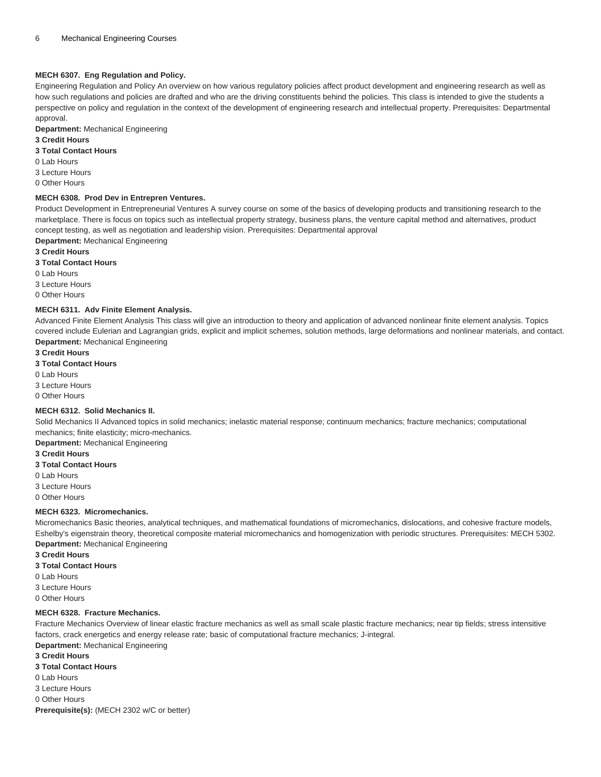#### **MECH 6307. Eng Regulation and Policy.**

Engineering Regulation and Policy An overview on how various regulatory policies affect product development and engineering research as well as how such regulations and policies are drafted and who are the driving constituents behind the policies. This class is intended to give the students a perspective on policy and regulation in the context of the development of engineering research and intellectual property. Prerequisites: Departmental approval.

**Department:** Mechanical Engineering

#### **3 Credit Hours**

#### **3 Total Contact Hours**

- 0 Lab Hours
- 3 Lecture Hours
- 0 Other Hours

#### **MECH 6308. Prod Dev in Entrepren Ventures.**

Product Development in Entrepreneurial Ventures A survey course on some of the basics of developing products and transitioning research to the marketplace. There is focus on topics such as intellectual property strategy, business plans, the venture capital method and alternatives, product concept testing, as well as negotiation and leadership vision. Prerequisites: Departmental approval **Department:** Mechanical Engineering

**3 Credit Hours**

#### **3 Total Contact Hours**

0 Lab Hours

3 Lecture Hours

0 Other Hours

#### **MECH 6311. Adv Finite Element Analysis.**

Advanced Finite Element Analysis This class will give an introduction to theory and application of advanced nonlinear finite element analysis. Topics covered include Eulerian and Lagrangian grids, explicit and implicit schemes, solution methods, large deformations and nonlinear materials, and contact. **Department:** Mechanical Engineering

#### **3 Credit Hours**

**3 Total Contact Hours**

- 0 Lab Hours
- 3 Lecture Hours

0 Other Hours

#### **MECH 6312. Solid Mechanics II.**

Solid Mechanics II Advanced topics in solid mechanics; inelastic material response; continuum mechanics; fracture mechanics; computational mechanics; finite elasticity; micro-mechanics.

**Department:** Mechanical Engineering

**3 Credit Hours**

- **3 Total Contact Hours**
- 0 Lab Hours
- 3 Lecture Hours
- 0 Other Hours

#### **MECH 6323. Micromechanics.**

Micromechanics Basic theories, analytical techniques, and mathematical foundations of micromechanics, dislocations, and cohesive fracture models, Eshelby's eigenstrain theory, theoretical composite material micromechanics and homogenization with periodic structures. Prerequisites: [MECH 5302.](/search/?P=MECH%205302) **Department:** Mechanical Engineering

- **3 Credit Hours**
- **3 Total Contact Hours**
- 0 Lab Hours

3 Lecture Hours

0 Other Hours

#### **MECH 6328. Fracture Mechanics.**

Fracture Mechanics Overview of linear elastic fracture mechanics as well as small scale plastic fracture mechanics; near tip fields; stress intensitive factors, crack energetics and energy release rate; basic of computational fracture mechanics; J-integral.

**Department:** Mechanical Engineering

- **3 Credit Hours**
- **3 Total Contact Hours**
- 0 Lab Hours
- 3 Lecture Hours
- 0 Other Hours
- **Prerequisite(s):** (MECH 2302 w/C or better)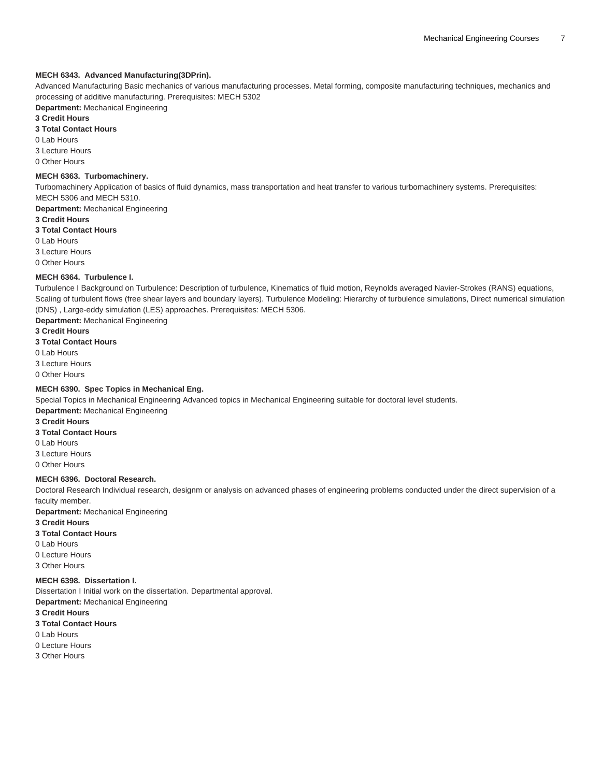#### **MECH 6343. Advanced Manufacturing(3DPrin).**

Advanced Manufacturing Basic mechanics of various manufacturing processes. Metal forming, composite manufacturing techniques, mechanics and processing of additive manufacturing. Prerequisites: [MECH 5302](/search/?P=MECH%205302)

**Department:** Mechanical Engineering

# **3 Credit Hours**

**3 Total Contact Hours**

0 Lab Hours

3 Lecture Hours

0 Other Hours

#### **MECH 6363. Turbomachinery.**

Turbomachinery Application of basics of fluid dynamics, mass transportation and heat transfer to various turbomachinery systems. Prerequisites: [MECH 5306](/search/?P=MECH%205306) and [MECH 5310.](/search/?P=MECH%205310)

**Department:** Mechanical Engineering

#### **3 Credit Hours**

**3 Total Contact Hours**

0 Lab Hours

3 Lecture Hours

0 Other Hours

#### **MECH 6364. Turbulence I.**

Turbulence I Background on Turbulence: Description of turbulence, Kinematics of fluid motion, Reynolds averaged Navier-Strokes (RANS) equations, Scaling of turbulent flows (free shear layers and boundary layers). Turbulence Modeling: Hierarchy of turbulence simulations, Direct numerical simulation (DNS) , Large-eddy simulation (LES) approaches. Prerequisites: [MECH 5306](/search/?P=MECH%205306).

**Department:** Mechanical Engineering

**3 Credit Hours**

**3 Total Contact Hours**

0 Lab Hours

3 Lecture Hours

0 Other Hours

#### **MECH 6390. Spec Topics in Mechanical Eng.**

Special Topics in Mechanical Engineering Advanced topics in Mechanical Engineering suitable for doctoral level students. **Department:** Mechanical Engineering

**3 Credit Hours**

- **3 Total Contact Hours**
- 0 Lab Hours

3 Lecture Hours

0 Other Hours

#### **MECH 6396. Doctoral Research.**

Doctoral Research Individual research, designm or analysis on advanced phases of engineering problems conducted under the direct supervision of a faculty member.

**Department:** Mechanical Engineering

**3 Credit Hours**

#### **3 Total Contact Hours**

0 Lab Hours

0 Lecture Hours

3 Other Hours

# **MECH 6398. Dissertation I.**

Dissertation I Initial work on the dissertation. Departmental approval. **Department:** Mechanical Engineering

**3 Credit Hours**

**3 Total Contact Hours**

0 Lab Hours

0 Lecture Hours